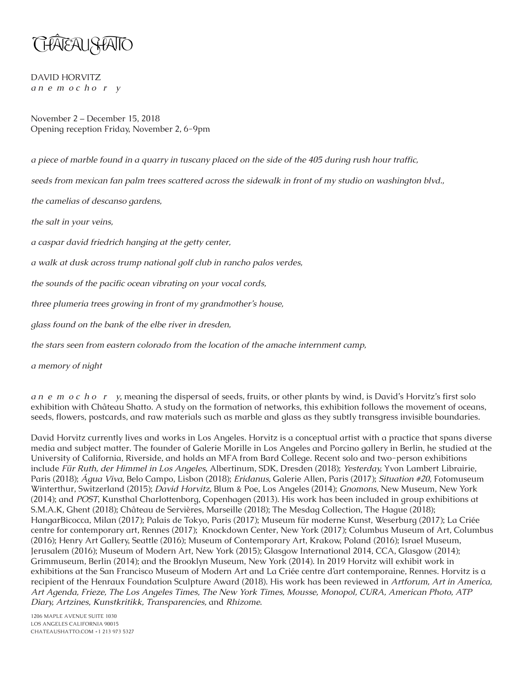

DAVID HORVITZ *a n e m o c h o r y*

November 2 – December 15, 2018 Opening reception Friday, November 2, 6-9pm

*a piece of marble found in a quarry in tuscany placed on the side of the 405 during rush hour traffic,*

*seeds from mexican fan palm trees scattered across the sidewalk in front of my studio on washington blvd.,* 

*the camelias of descanso gardens,*

*the salt in your veins,*

*a caspar david friedrich hanging at the getty center,*

*a walk at dusk across trump national golf club in rancho palos verdes,*

*the sounds of the pacific ocean vibrating on your vocal cords,*

*three plumeria trees growing in front of my grandmother's house,*

*glass found on the bank of the elbe river in dresden,*

*the stars seen from eastern colorado from the location of the amache internment camp,*

*a memory of night*

*a n e m o c h o r y*, meaning the dispersal of seeds, fruits, or other plants by wind, is David's Horvitz's first solo exhibition with Château Shatto. A study on the formation of networks, this exhibition follows the movement of oceans, seeds, flowers, postcards, and raw materials such as marble and glass as they subtly transgress invisible boundaries.

David Horvitz currently lives and works in Los Angeles. Horvitz is a conceptual artist with a practice that spans diverse media and subject matter. The founder of Galerie Morille in Los Angeles and Porcino gallery in Berlin, he studied at the University of California, Riverside, and holds an MFA from Bard College. Recent solo and two-person exhibitions include *Für Ruth, der Himmel in Los Angeles*, Albertinum, SDK, Dresden (2018); *Yesterday,* Yvon Lambert Librairie, Paris (2018); *Água Viva*, Belo Campo, Lisbon (2018); *Eridanus,* Galerie Allen, Paris (2017); *Situation #20,* Fotomuseum Winterthur, Switzerland (2015); *David Horvitz,* Blum & Poe, Los Angeles (2014); *Gnomons,* New Museum, New York (2014); and *POST*, Kunsthal Charlottenborg, Copenhagen (2013). His work has been included in group exhibitions at S.M.A.K, Ghent (2018); Château de Servières, Marseille (2018); The Mesdag Collection, The Hague (2018); HangarBicocca, Milan (2017); Palais de Tokyo, Paris (2017); Museum für moderne Kunst, Weserburg (2017); La Criée centre for contemporary art, Rennes (2017); Knockdown Center, New York (2017); Columbus Museum of Art, Columbus (2016); Henry Art Gallery, Seattle (2016); Museum of Contemporary Art, Krakow, Poland (2016); Israel Museum, Jerusalem (2016); Museum of Modern Art, New York (2015); Glasgow International 2014, CCA, Glasgow (2014); Grimmuseum, Berlin (2014); and the Brooklyn Museum, New York (2014). In 2019 Horvitz will exhibit work in exhibitions at the San Francisco Museum of Modern Art and La Criée centre d'art contemporaine, Rennes. Horvitz is a recipient of the Henraux Foundation Sculpture Award (2018). His work has been reviewed in *Artforum, Art in America, Art Agenda, Frieze, The Los Angeles Times, The New York Times, Mousse, Monopol, CURA, American Photo, ATP Diary, Artzines, Kunstkritikk, Transparencies,* and *Rhizome*.

1206 MAPLE AVENUE SUITE 1030 LOS ANGELES CALIFORNIA 90015 CHATEAUSHATTO.COM +1 213 973 5327